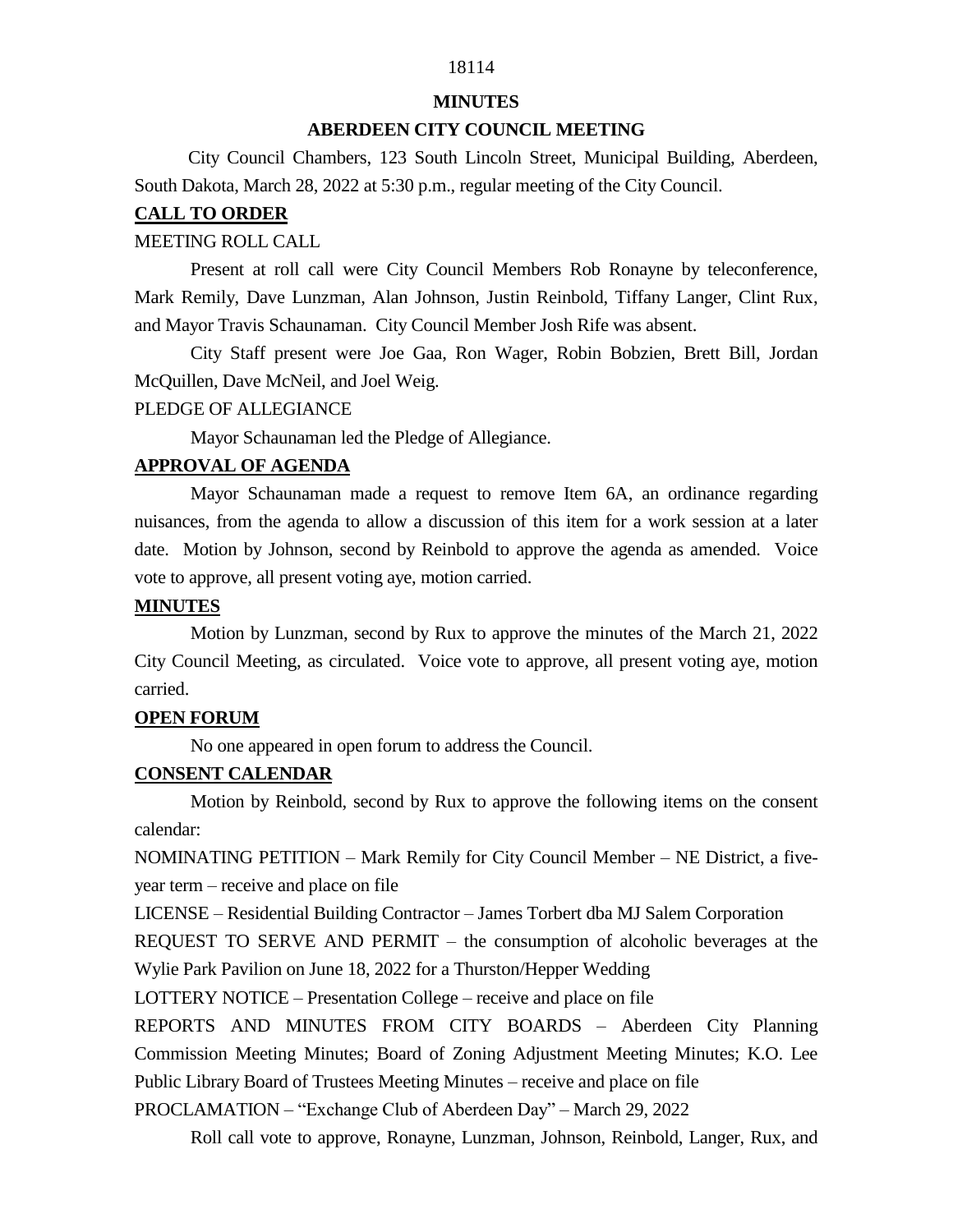# 18114

#### **MINUTES**

## **ABERDEEN CITY COUNCIL MEETING**

 City Council Chambers, 123 South Lincoln Street, Municipal Building, Aberdeen, South Dakota, March 28, 2022 at 5:30 p.m., regular meeting of the City Council.

#### **CALL TO ORDER**

#### MEETING ROLL CALL

Present at roll call were City Council Members Rob Ronayne by teleconference, Mark Remily, Dave Lunzman, Alan Johnson, Justin Reinbold, Tiffany Langer, Clint Rux, and Mayor Travis Schaunaman. City Council Member Josh Rife was absent.

City Staff present were Joe Gaa, Ron Wager, Robin Bobzien, Brett Bill, Jordan McQuillen, Dave McNeil, and Joel Weig.

#### PLEDGE OF ALLEGIANCE

Mayor Schaunaman led the Pledge of Allegiance.

## **APPROVAL OF AGENDA**

Mayor Schaunaman made a request to remove Item 6A, an ordinance regarding nuisances, from the agenda to allow a discussion of this item for a work session at a later date. Motion by Johnson, second by Reinbold to approve the agenda as amended. Voice vote to approve, all present voting aye, motion carried.

#### **MINUTES**

Motion by Lunzman, second by Rux to approve the minutes of the March 21, 2022 City Council Meeting, as circulated. Voice vote to approve, all present voting aye, motion carried.

## **OPEN FORUM**

No one appeared in open forum to address the Council.

## **CONSENT CALENDAR**

Motion by Reinbold, second by Rux to approve the following items on the consent calendar:

NOMINATING PETITION – Mark Remily for City Council Member – NE District, a fiveyear term – receive and place on file

LICENSE – Residential Building Contractor – James Torbert dba MJ Salem Corporation

REQUEST TO SERVE AND PERMIT – the consumption of alcoholic beverages at the Wylie Park Pavilion on June 18, 2022 for a Thurston/Hepper Wedding

LOTTERY NOTICE – Presentation College – receive and place on file

REPORTS AND MINUTES FROM CITY BOARDS – Aberdeen City Planning Commission Meeting Minutes; Board of Zoning Adjustment Meeting Minutes; K.O. Lee Public Library Board of Trustees Meeting Minutes – receive and place on file

PROCLAMATION – "Exchange Club of Aberdeen Day" – March 29, 2022

Roll call vote to approve, Ronayne, Lunzman, Johnson, Reinbold, Langer, Rux, and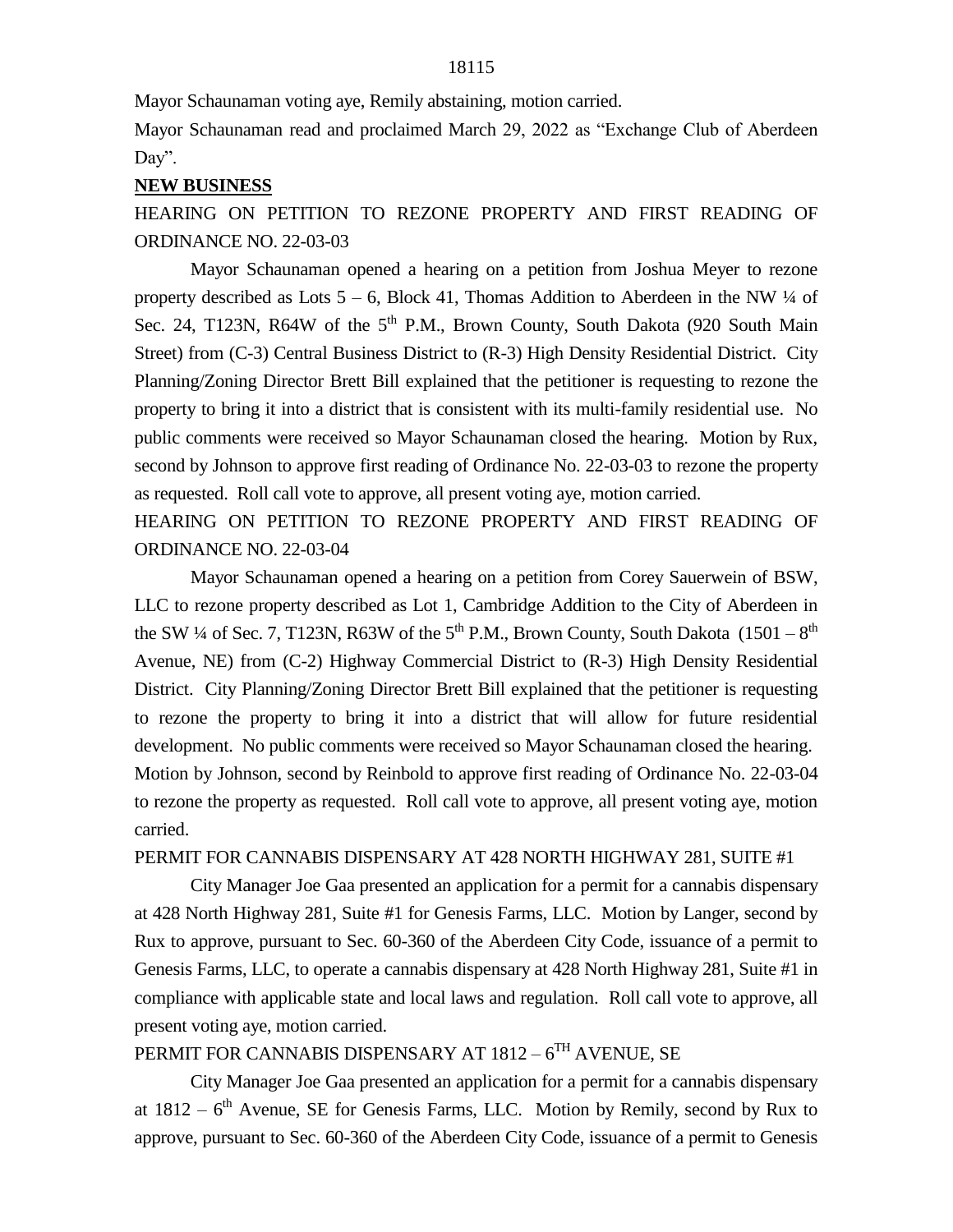Mayor Schaunaman voting aye, Remily abstaining, motion carried.

Mayor Schaunaman read and proclaimed March 29, 2022 as "Exchange Club of Aberdeen Day".

#### **NEW BUSINESS**

HEARING ON PETITION TO REZONE PROPERTY AND FIRST READING OF ORDINANCE NO. 22-03-03

Mayor Schaunaman opened a hearing on a petition from Joshua Meyer to rezone property described as Lots  $5 - 6$ , Block 41, Thomas Addition to Aberdeen in the NW  $\frac{1}{4}$  of Sec. 24, T123N, R64W of the 5<sup>th</sup> P.M., Brown County, South Dakota (920 South Main Street) from (C-3) Central Business District to (R-3) High Density Residential District. City Planning/Zoning Director Brett Bill explained that the petitioner is requesting to rezone the property to bring it into a district that is consistent with its multi-family residential use. No public comments were received so Mayor Schaunaman closed the hearing. Motion by Rux, second by Johnson to approve first reading of Ordinance No. 22-03-03 to rezone the property as requested. Roll call vote to approve, all present voting aye, motion carried.

HEARING ON PETITION TO REZONE PROPERTY AND FIRST READING OF ORDINANCE NO. 22-03-04

Mayor Schaunaman opened a hearing on a petition from Corey Sauerwein of BSW, LLC to rezone property described as Lot 1, Cambridge Addition to the City of Aberdeen in the SW ¼ of Sec. 7, T123N, R63W of the 5<sup>th</sup> P.M., Brown County, South Dakota  $(1501-8^{\text{th}})$ Avenue, NE) from (C-2) Highway Commercial District to (R-3) High Density Residential District. City Planning/Zoning Director Brett Bill explained that the petitioner is requesting to rezone the property to bring it into a district that will allow for future residential development. No public comments were received so Mayor Schaunaman closed the hearing. Motion by Johnson, second by Reinbold to approve first reading of Ordinance No. 22-03-04 to rezone the property as requested. Roll call vote to approve, all present voting aye, motion carried.

#### PERMIT FOR CANNABIS DISPENSARY AT 428 NORTH HIGHWAY 281, SUITE #1

City Manager Joe Gaa presented an application for a permit for a cannabis dispensary at 428 North Highway 281, Suite #1 for Genesis Farms, LLC. Motion by Langer, second by Rux to approve, pursuant to Sec. 60-360 of the Aberdeen City Code, issuance of a permit to Genesis Farms, LLC, to operate a cannabis dispensary at 428 North Highway 281, Suite #1 in compliance with applicable state and local laws and regulation. Roll call vote to approve, all present voting aye, motion carried.

## PERMIT FOR CANNABIS DISPENSARY AT 1812 –  $6^{\mathrm{TH}}$  AVENUE, SE

City Manager Joe Gaa presented an application for a permit for a cannabis dispensary at  $1812 - 6<sup>th</sup>$  Avenue, SE for Genesis Farms, LLC. Motion by Remily, second by Rux to approve, pursuant to Sec. 60-360 of the Aberdeen City Code, issuance of a permit to Genesis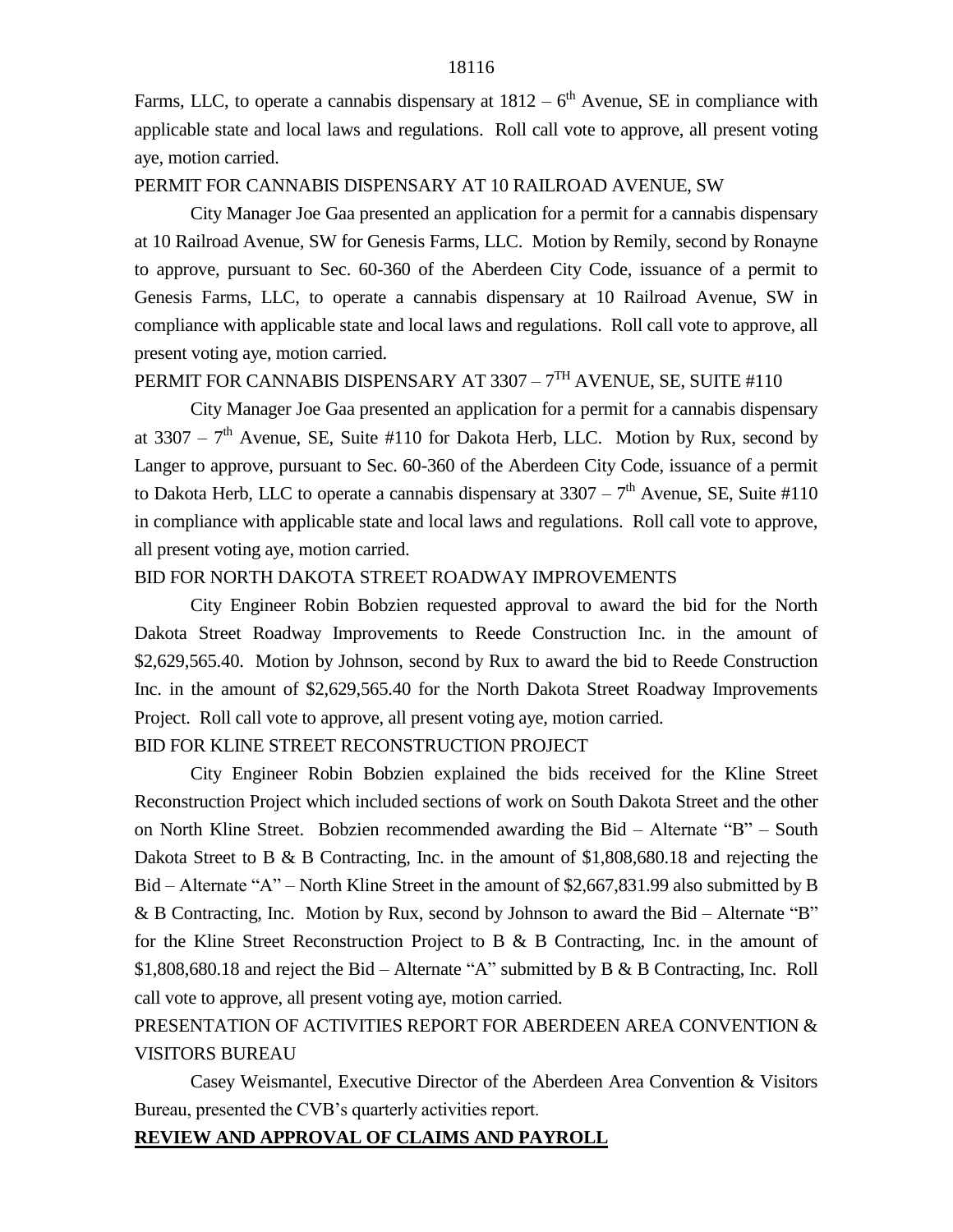Farms, LLC, to operate a cannabis dispensary at  $1812 - 6<sup>th</sup>$  Avenue, SE in compliance with applicable state and local laws and regulations. Roll call vote to approve, all present voting aye, motion carried.

#### PERMIT FOR CANNABIS DISPENSARY AT 10 RAILROAD AVENUE, SW

City Manager Joe Gaa presented an application for a permit for a cannabis dispensary at 10 Railroad Avenue, SW for Genesis Farms, LLC. Motion by Remily, second by Ronayne to approve, pursuant to Sec. 60-360 of the Aberdeen City Code, issuance of a permit to Genesis Farms, LLC, to operate a cannabis dispensary at 10 Railroad Avenue, SW in compliance with applicable state and local laws and regulations. Roll call vote to approve, all present voting aye, motion carried.

## PERMIT FOR CANNABIS DISPENSARY AT 3307 – 7<sup>th</sup> AVENUE, SE, SUITE #110

City Manager Joe Gaa presented an application for a permit for a cannabis dispensary at 3307 –  $7<sup>th</sup>$  Avenue, SE, Suite #110 for Dakota Herb, LLC. Motion by Rux, second by Langer to approve, pursuant to Sec. 60-360 of the Aberdeen City Code, issuance of a permit to Dakota Herb, LLC to operate a cannabis dispensary at  $3307 - 7<sup>th</sup>$  Avenue, SE, Suite #110 in compliance with applicable state and local laws and regulations. Roll call vote to approve, all present voting aye, motion carried.

#### BID FOR NORTH DAKOTA STREET ROADWAY IMPROVEMENTS

City Engineer Robin Bobzien requested approval to award the bid for the North Dakota Street Roadway Improvements to Reede Construction Inc. in the amount of \$2,629,565.40. Motion by Johnson, second by Rux to award the bid to Reede Construction Inc. in the amount of \$2,629,565.40 for the North Dakota Street Roadway Improvements Project. Roll call vote to approve, all present voting aye, motion carried.

## BID FOR KLINE STREET RECONSTRUCTION PROJECT

City Engineer Robin Bobzien explained the bids received for the Kline Street Reconstruction Project which included sections of work on South Dakota Street and the other on North Kline Street. Bobzien recommended awarding the Bid – Alternate "B" – South Dakota Street to B & B Contracting, Inc. in the amount of \$1,808,680.18 and rejecting the Bid – Alternate "A" – North Kline Street in the amount of \$2,667,831.99 also submitted by B & B Contracting, Inc. Motion by Rux, second by Johnson to award the Bid – Alternate "B" for the Kline Street Reconstruction Project to B  $\&$  B Contracting, Inc. in the amount of \$1,808,680.18 and reject the Bid – Alternate "A" submitted by B & B Contracting, Inc. Roll call vote to approve, all present voting aye, motion carried.

# PRESENTATION OF ACTIVITIES REPORT FOR ABERDEEN AREA CONVENTION & VISITORS BUREAU

Casey Weismantel, Executive Director of the Aberdeen Area Convention & Visitors Bureau, presented the CVB's quarterly activities report.

#### **REVIEW AND APPROVAL OF CLAIMS AND PAYROLL**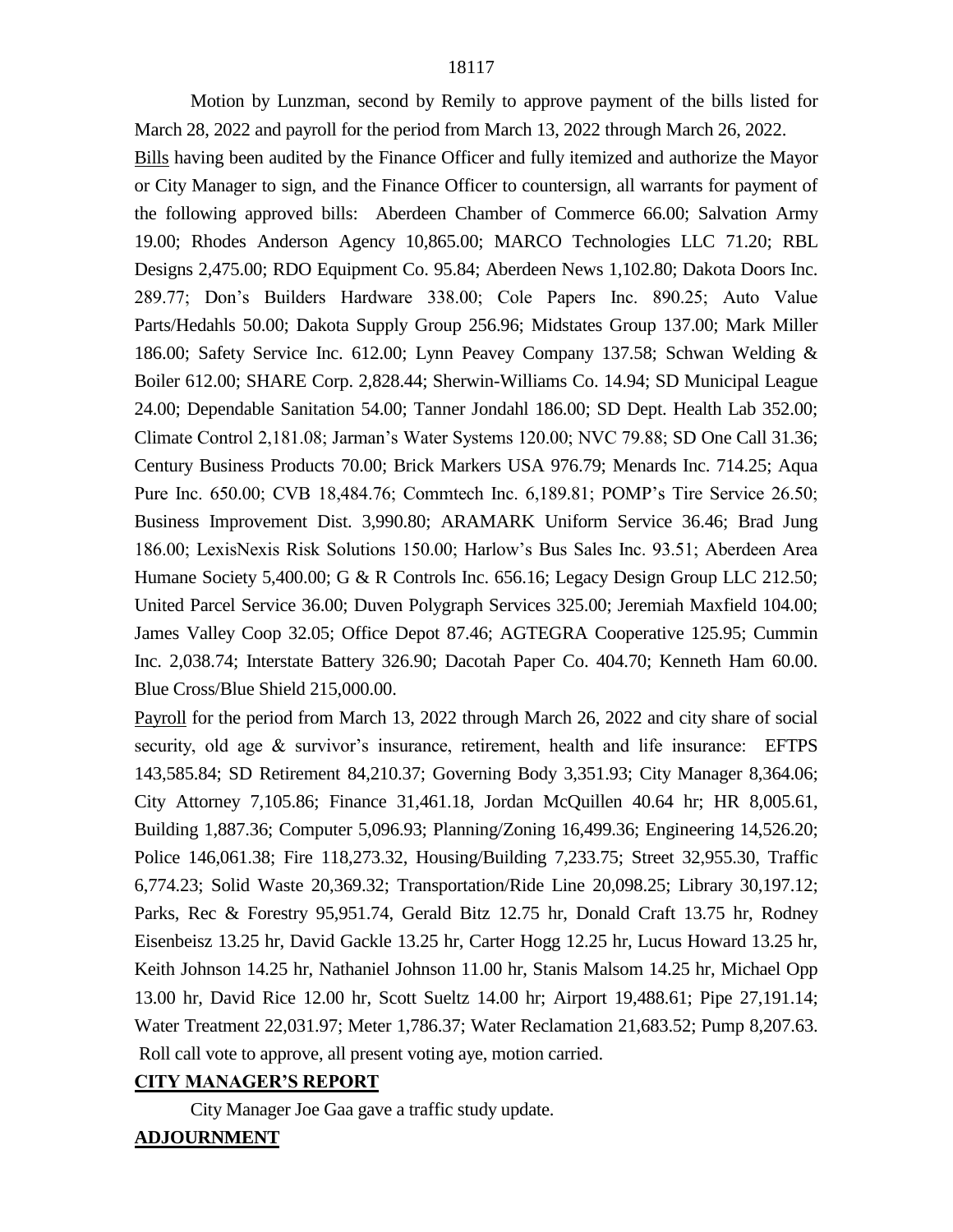Motion by Lunzman, second by Remily to approve payment of the bills listed for March 28, 2022 and payroll for the period from March 13, 2022 through March 26, 2022.

Bills having been audited by the Finance Officer and fully itemized and authorize the Mayor or City Manager to sign, and the Finance Officer to countersign, all warrants for payment of the following approved bills: Aberdeen Chamber of Commerce 66.00; Salvation Army 19.00; Rhodes Anderson Agency 10,865.00; MARCO Technologies LLC 71.20; RBL Designs 2,475.00; RDO Equipment Co. 95.84; Aberdeen News 1,102.80; Dakota Doors Inc. 289.77; Don's Builders Hardware 338.00; Cole Papers Inc. 890.25; Auto Value Parts/Hedahls 50.00; Dakota Supply Group 256.96; Midstates Group 137.00; Mark Miller 186.00; Safety Service Inc. 612.00; Lynn Peavey Company 137.58; Schwan Welding & Boiler 612.00; SHARE Corp. 2,828.44; Sherwin-Williams Co. 14.94; SD Municipal League 24.00; Dependable Sanitation 54.00; Tanner Jondahl 186.00; SD Dept. Health Lab 352.00; Climate Control 2,181.08; Jarman's Water Systems 120.00; NVC 79.88; SD One Call 31.36; Century Business Products 70.00; Brick Markers USA 976.79; Menards Inc. 714.25; Aqua Pure Inc. 650.00; CVB 18,484.76; Commtech Inc. 6,189.81; POMP's Tire Service 26.50; Business Improvement Dist. 3,990.80; ARAMARK Uniform Service 36.46; Brad Jung 186.00; LexisNexis Risk Solutions 150.00; Harlow's Bus Sales Inc. 93.51; Aberdeen Area Humane Society 5,400.00; G & R Controls Inc. 656.16; Legacy Design Group LLC 212.50; United Parcel Service 36.00; Duven Polygraph Services 325.00; Jeremiah Maxfield 104.00; James Valley Coop 32.05; Office Depot 87.46; AGTEGRA Cooperative 125.95; Cummin Inc. 2,038.74; Interstate Battery 326.90; Dacotah Paper Co. 404.70; Kenneth Ham 60.00. Blue Cross/Blue Shield 215,000.00.

Payroll for the period from March 13, 2022 through March 26, 2022 and city share of social security, old age & survivor's insurance, retirement, health and life insurance: EFTPS 143,585.84; SD Retirement 84,210.37; Governing Body 3,351.93; City Manager 8,364.06; City Attorney 7,105.86; Finance 31,461.18, Jordan McQuillen 40.64 hr; HR 8,005.61, Building 1,887.36; Computer 5,096.93; Planning/Zoning 16,499.36; Engineering 14,526.20; Police 146,061.38; Fire 118,273.32, Housing/Building 7,233.75; Street 32,955.30, Traffic 6,774.23; Solid Waste 20,369.32; Transportation/Ride Line 20,098.25; Library 30,197.12; Parks, Rec & Forestry 95,951.74, Gerald Bitz 12.75 hr, Donald Craft 13.75 hr, Rodney Eisenbeisz 13.25 hr, David Gackle 13.25 hr, Carter Hogg 12.25 hr, Lucus Howard 13.25 hr, Keith Johnson 14.25 hr, Nathaniel Johnson 11.00 hr, Stanis Malsom 14.25 hr, Michael Opp 13.00 hr, David Rice 12.00 hr, Scott Sueltz 14.00 hr; Airport 19,488.61; Pipe 27,191.14; Water Treatment 22,031.97; Meter 1,786.37; Water Reclamation 21,683.52; Pump 8,207.63. Roll call vote to approve, all present voting aye, motion carried.

## **CITY MANAGER'S REPORT**

City Manager Joe Gaa gave a traffic study update.

## **ADJOURNMENT**